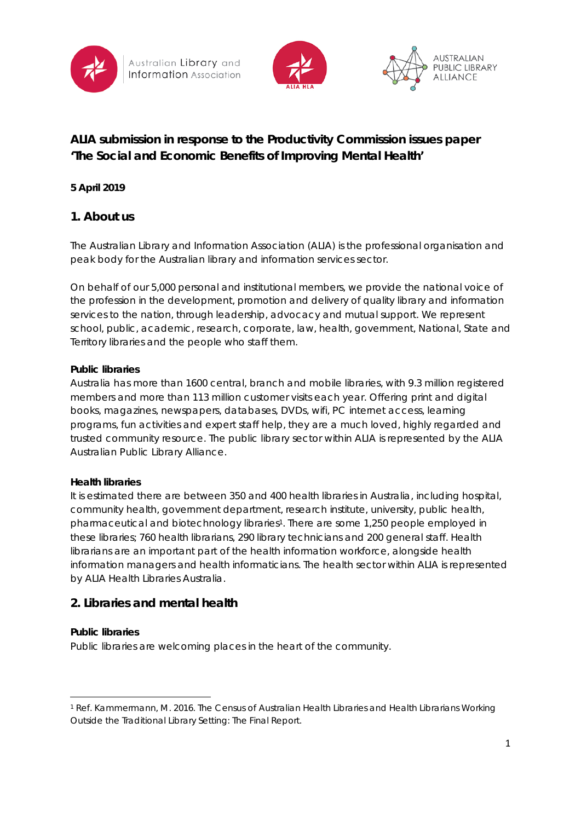





# **ALIA submission in response to the Productivity Commission issues paper 'The Social and Economic Benefits of Improving Mental Health'**

### **5 April 2019**

# **1. About us**

The Australian Library and Information Association (ALIA) is the professional organisation and peak body for the Australian library and information services sector.

On behalf of our 5,000 personal and institutional members, we provide the national voice of the profession in the development, promotion and delivery of quality library and information services to the nation, through leadership, advocacy and mutual support. We represent school, public, academic, research, corporate, law, health, government, National, State and Territory libraries and the people who staff them.

### **Public libraries**

Australia has more than 1600 central, branch and mobile libraries, with 9.3 million registered members and more than 113 million customer visits each year. Offering print and digital books, magazines, newspapers, databases, DVDs, wifi, PC internet access, learning programs, fun activities and expert staff help, they are a much loved, highly regarded and trusted community resource. The public library sector within ALIA is represented by the ALIA Australian Public Library Alliance.

### **Health libraries**

It is estimated there are between 350 and 400 health libraries in Australia, including hospital, community health, government department, research institute, university, public health, pharmaceutical and biotechnology libraries1. There are some 1,250 people employed in these libraries; 760 health librarians, 290 library technicians and 200 general staff. Health librarians are an important part of the health information workforce, alongside health information managers and health informaticians. The health sector within ALIA is represented by ALIA Health Libraries Australia.

# **2. Libraries and mental health**

### **Public libraries**

.

Public libraries are welcoming places in the heart of the community.

<sup>1</sup> Ref. Kammermann, M. 2016. The Census of Australian Health Libraries and Health Librarians Working Outside the Traditional Library Setting: The Final Report.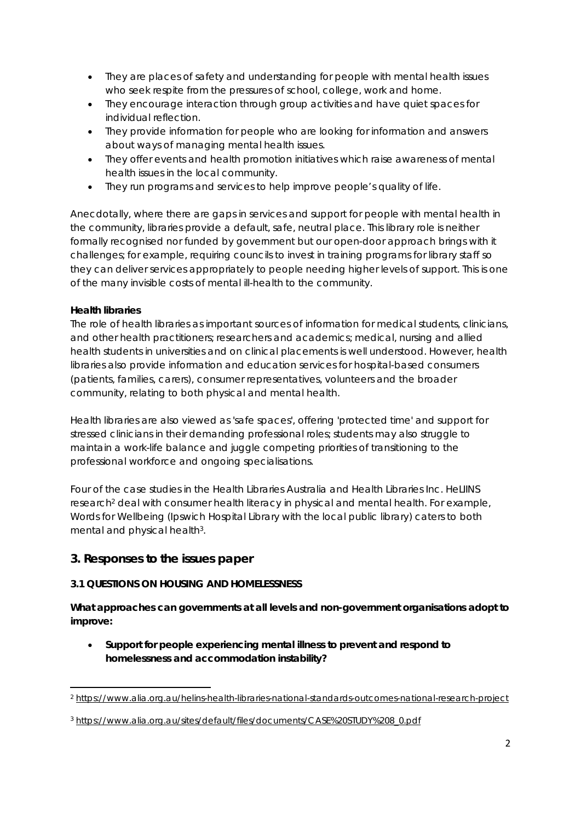- They are places of safety and understanding for people with mental health issues who seek respite from the pressures of school, college, work and home.
- They encourage interaction through group activities and have quiet spaces for individual reflection.
- They provide information for people who are looking for information and answers about ways of managing mental health issues.
- They offer events and health promotion initiatives which raise awareness of mental health issues in the local community.
- They run programs and services to help improve people's quality of life.

Anecdotally, where there are gaps in services and support for people with mental health in the community, libraries provide a default, safe, neutral place. This library role is neither formally recognised nor funded by government but our open-door approach brings with it challenges; for example, requiring councils to invest in training programs for library staff so they can deliver services appropriately to people needing higher levels of support. This is one of the many invisible costs of mental ill-health to the community.

### **Health libraries**

.

The role of health libraries as important sources of information for medical students, clinicians, and other health practitioners; researchers and academics; medical, nursing and allied health students in universities and on clinical placements is well understood. However, health libraries also provide information and education services for hospital-based consumers (patients, families, carers), consumer representatives, volunteers and the broader community, relating to both physical and mental health.

Health libraries are also viewed as 'safe spaces', offering 'protected time' and support for stressed clinicians in their demanding professional roles; students may also struggle to maintain a work-life balance and juggle competing priorities of transitioning to the professional workforce and ongoing specialisations.

Four of the case studies in the Health Libraries Australia and Health Libraries Inc. HeLIINS research<sup>2</sup> deal with consumer health literacy in physical and mental health. For example, *Words for Wellbeing* (Ipswich Hospital Library with the local public library) caters to both mental and physical health<sup>3</sup>.

# **3. Responses to the issues paper**

## **3.1 QUESTIONS ON HOUSING AND HOMELESSNESS**

**What approaches can governments at all levels and non-government organisations adopt to improve:** 

• **Support for people experiencing mental illness to prevent and respond to homelessness and accommodation instability?**

<sup>2</sup> <https://www.alia.org.au/helins-health-libraries-national-standards-outcomes-national-research-project>

<sup>3</sup> [https://www.alia.org.au/sites/default/files/documents/CASE%20STUDY%208\\_0.pdf](https://www.alia.org.au/sites/default/files/documents/CASE%20STUDY%208_0.pdf)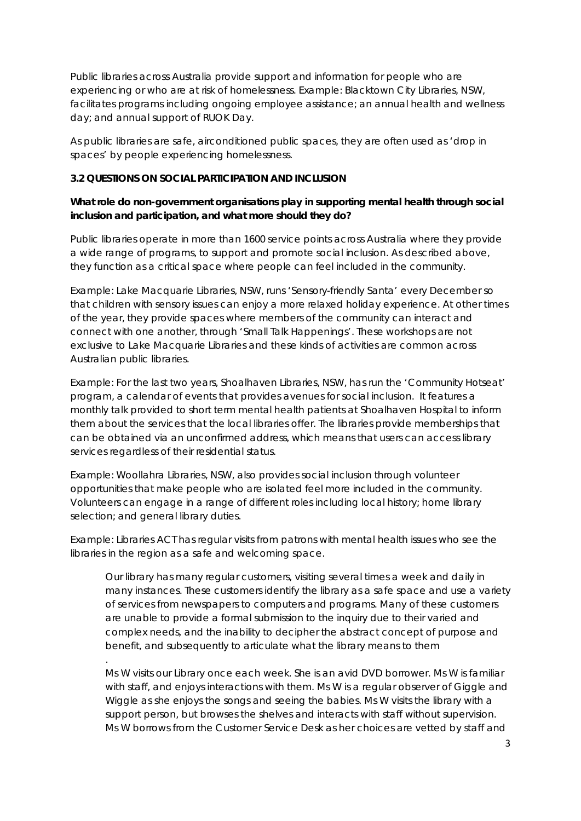Public libraries across Australia provide support and information for people who are experiencing or who are at risk of homelessness. Example: Blacktown City Libraries, NSW, facilitates programs including ongoing employee assistance; an annual health and wellness day; and annual support of RUOK Day.

As public libraries are safe, airconditioned public spaces, they are often used as 'drop in spaces' by people experiencing homelessness.

#### **3.2 QUESTIONS ON SOCIAL PARTICIPATION AND INCLUSION**

*.*

### **What role do non-government organisations play in supporting mental health through social inclusion and participation, and what more should they do?**

Public libraries operate in more than 1600 service points across Australia where they provide a wide range of programs, to support and promote social inclusion. As described above, they function as a critical space where people can feel included in the community.

Example: Lake Macquarie Libraries, NSW, runs 'Sensory-friendly Santa' every December so that children with sensory issues can enjoy a more relaxed holiday experience. At other times of the year, they provide spaces where members of the community can interact and connect with one another, through 'Small Talk Happenings'. These workshops are not exclusive to Lake Macquarie Libraries and these kinds of activities are common across Australian public libraries.

Example: For the last two years, Shoalhaven Libraries, NSW, has run the 'Community Hotseat' program, a calendar of events that provides avenues for social inclusion. It features a monthly talk provided to short term mental health patients at Shoalhaven Hospital to inform them about the services that the local libraries offer. The libraries provide memberships that can be obtained via an unconfirmed address, which means that users can access library services regardless of their residential status.

Example: Woollahra Libraries, NSW, also provides social inclusion through volunteer opportunities that make people who are isolated feel more included in the community. Volunteers can engage in a range of different roles including local history; home library selection; and general library duties.

Example: Libraries ACT has regular visits from patrons with mental health issues who see the libraries in the region as a safe and welcoming space.

*Our library has many regular customers, visiting several times a week and daily in many instances. These customers identify the library as a safe space and use a variety of services from newspapers to computers and programs. Many of these customers are unable to provide a formal submission to the inquiry due to their varied and complex needs, and the inability to decipher the abstract concept of purpose and benefit, and subsequently to articulate what the library means to them*

*Ms W visits our Library once each week. She is an avid DVD borrower. Ms W is familiar with staff, and enjoys interactions with them. Ms W is a regular observer of Giggle and Wiggle as she enjoys the songs and seeing the babies. Ms W visits the library with a support person, but browses the shelves and interacts with staff without supervision. Ms W borrows from the Customer Service Desk as her choices are vetted by staff and*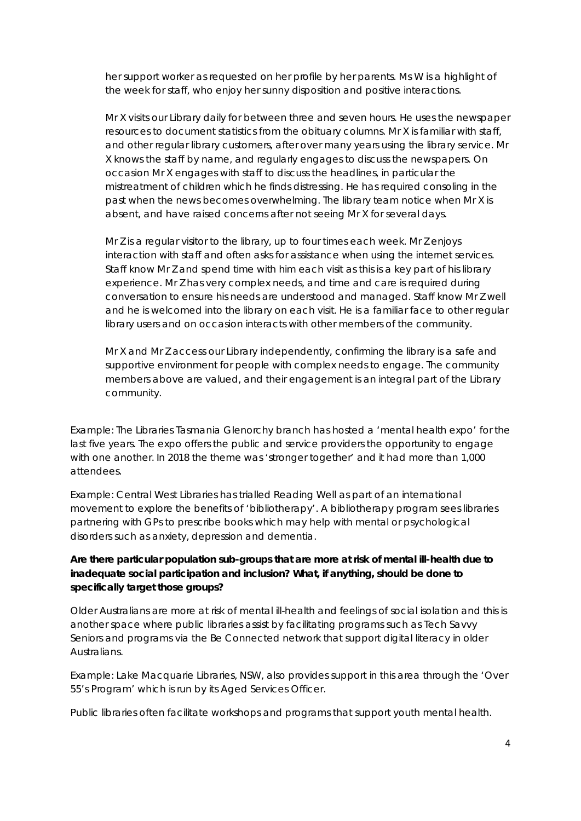*her support worker as requested on her profile by her parents. Ms W is a highlight of the week for staff, who enjoy her sunny disposition and positive interactions.*

*Mr X visits our Library daily for between three and seven hours. He uses the newspaper resources to document statistics from the obituary columns. Mr X is familiar with staff, and other regular library customers, after over many years using the library service. Mr X knows the staff by name, and regularly engages to discuss the newspapers. On occasion Mr X engages with staff to discuss the headlines, in particular the mistreatment of children which he finds distressing. He has required consoling in the*  past when the news becomes overwhelming. The library team notice when Mr X is *absent, and have raised concerns after not seeing Mr X for several days.*

*Mr Z is a regular visitor to the library, up to four times each week. Mr Z enjoys interaction with staff and often asks for assistance when using the internet services. Staff know Mr Z and spend time with him each visit as this is a key part of his library experience. Mr Z has very complex needs, and time and care is required during conversation to ensure his needs are understood and managed. Staff know Mr Z well*  and he is welcomed into the library on each visit. He is a familiar face to other regular *library users and on occasion interacts with other members of the community.*

*Mr X and Mr Z access our Library independently, confirming the library is a safe and supportive environment for people with complex needs to engage. The community members above are valued, and their engagement is an integral part of the Library community.*

Example: The Libraries Tasmania Glenorchy branch has hosted a 'mental health expo' for the last five years. The expo offers the public and service providers the opportunity to engage with one another. In 2018 the theme was 'stronger together' and it had more than 1,000 attendees.

Example: Central West Libraries has trialled Reading Well as part of an international movement to explore the benefits of 'bibliotherapy'. A bibliotherapy program sees libraries partnering with GPs to prescribe books which may help with mental or psychological disorders such as anxiety, depression and dementia.

### **Are there particular population sub-groups that are more at risk of mental ill-health due to inadequate social participation and inclusion? What, if anything, should be done to specifically target those groups?**

Older Australians are more at risk of mental ill-health and feelings of social isolation and this is another space where public libraries assist by facilitating programs such as Tech Savvy Seniors and programs via the Be Connected network that support digital literacy in older Australians.

Example: Lake Macquarie Libraries, NSW, also provides support in this area through the 'Over 55's Program' which is run by its Aged Services Officer.

Public libraries often facilitate workshops and programs that support youth mental health.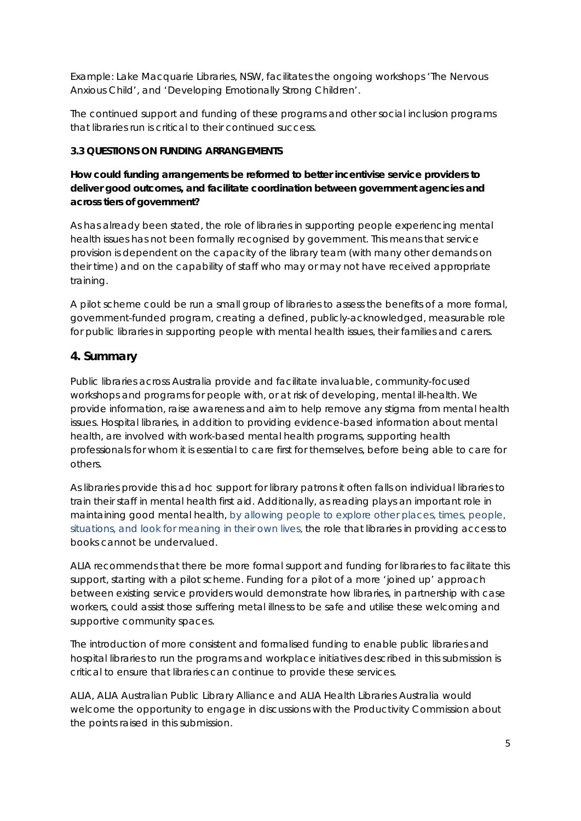Example: Lake Macquarie Libraries, NSW, facilitates the ongoing workshops 'The Nervous Anxious Child', and 'Developing Emotionally Strong Children'.

The continued support and funding of these programs and other social inclusion programs that libraries run is critical to their continued success.

### **3.3 QUESTIONS ON FUNDING ARRANGEMENTS**

### **How could funding arrangements be reformed to better incentivise service providers to deliver good outcomes, and facilitate coordination between government agencies and across tiers of government?**

As has already been stated, the role of libraries in supporting people experiencing mental health issues has not been formally recognised by government. This means that service provision is dependent on the capacity of the library team (with many other demands on their time) and on the capability of staff who may or may not have received appropriate training.

A pilot scheme could be run a small group of libraries to assess the benefits of a more formal, government-funded program, creating a defined, publicly-acknowledged, measurable role for public libraries in supporting people with mental health issues, their families and carers.

# **4. Summary**

Public libraries across Australia provide and facilitate invaluable, community-focused workshops and programs for people with, or at risk of developing, mental ill-health. We provide information, raise awareness and aim to help remove any stigma from mental health issues. Hospital libraries, in addition to providing evidence-based information about mental health, are involved with work-based mental health programs, supporting health professionals for whom it is essential to care first for themselves, before being able to care for others.

As libraries provide this ad hoc support for library patrons it often falls on individual libraries to train their staff in mental health first aid. Additionally, as reading plays an important role in maintaining good mental health, by allowing people to explore other places, times, people, situations, and look for meaning in their own lives, the role that libraries in providing access to books cannot be undervalued.

ALIA recommends that there be more formal support and funding for libraries to facilitate this support, starting with a pilot scheme. Funding for a pilot of a more 'joined up' approach between existing service providers would demonstrate how libraries, in partnership with case workers, could assist those suffering metal illness to be safe and utilise these welcoming and supportive community spaces.

The introduction of more consistent and formalised funding to enable public libraries and hospital libraries to run the programs and workplace initiatives described in this submission is critical to ensure that libraries can continue to provide these services.

ALIA, ALIA Australian Public Library Alliance and ALIA Health Libraries Australia would welcome the opportunity to engage in discussions with the Productivity Commission about the points raised in this submission.